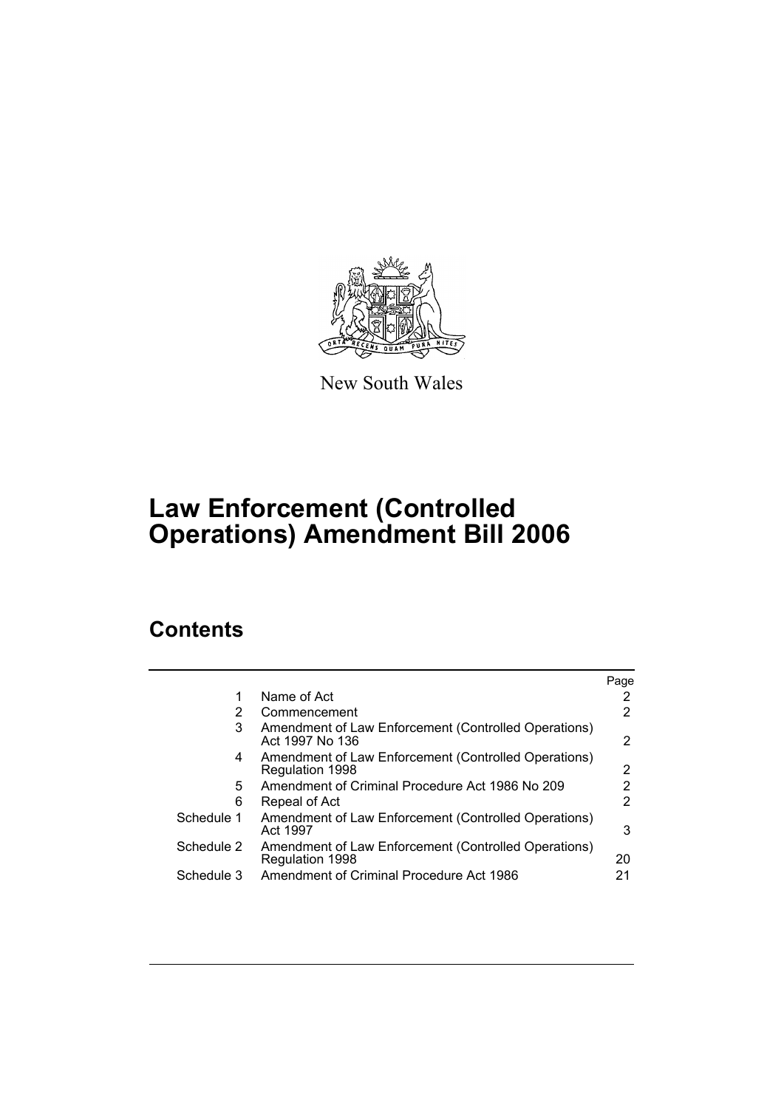

New South Wales

# **Law Enforcement (Controlled Operations) Amendment Bill 2006**

# **Contents**

|            |                                                                         | Page |
|------------|-------------------------------------------------------------------------|------|
|            | Name of Act                                                             |      |
| 2          | Commencement                                                            |      |
| 3          | Amendment of Law Enforcement (Controlled Operations)<br>Act 1997 No 136 | 2    |
| 4          | Amendment of Law Enforcement (Controlled Operations)<br>Regulation 1998 | 2    |
| 5          | Amendment of Criminal Procedure Act 1986 No 209                         |      |
| 6          | Repeal of Act                                                           | 2    |
| Schedule 1 | Amendment of Law Enforcement (Controlled Operations)<br>Act 1997        | 3    |
| Schedule 2 | Amendment of Law Enforcement (Controlled Operations)<br>Regulation 1998 | 20   |
| Schedule 3 | Amendment of Criminal Procedure Act 1986                                | 21   |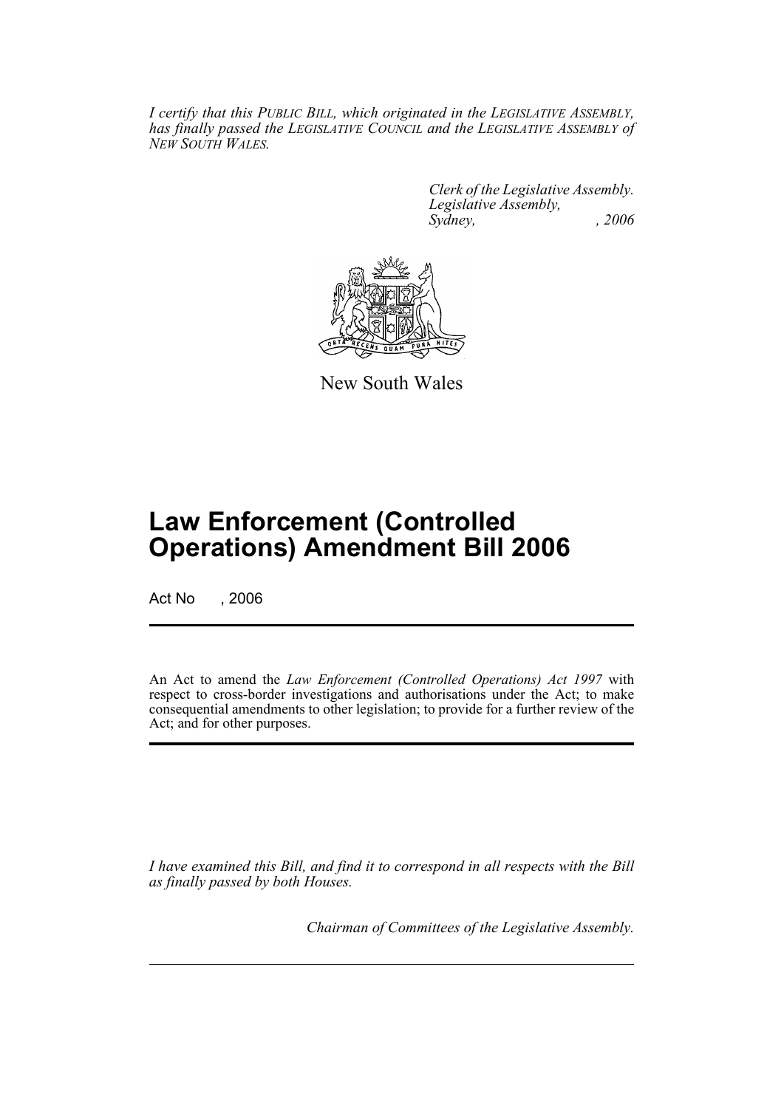*I certify that this PUBLIC BILL, which originated in the LEGISLATIVE ASSEMBLY, has finally passed the LEGISLATIVE COUNCIL and the LEGISLATIVE ASSEMBLY of NEW SOUTH WALES.*

> *Clerk of the Legislative Assembly. Legislative Assembly, Sydney, , 2006*



New South Wales

# **Law Enforcement (Controlled Operations) Amendment Bill 2006**

Act No . 2006

An Act to amend the *Law Enforcement (Controlled Operations) Act 1997* with respect to cross-border investigations and authorisations under the Act; to make consequential amendments to other legislation; to provide for a further review of the Act; and for other purposes.

*I have examined this Bill, and find it to correspond in all respects with the Bill as finally passed by both Houses.*

*Chairman of Committees of the Legislative Assembly.*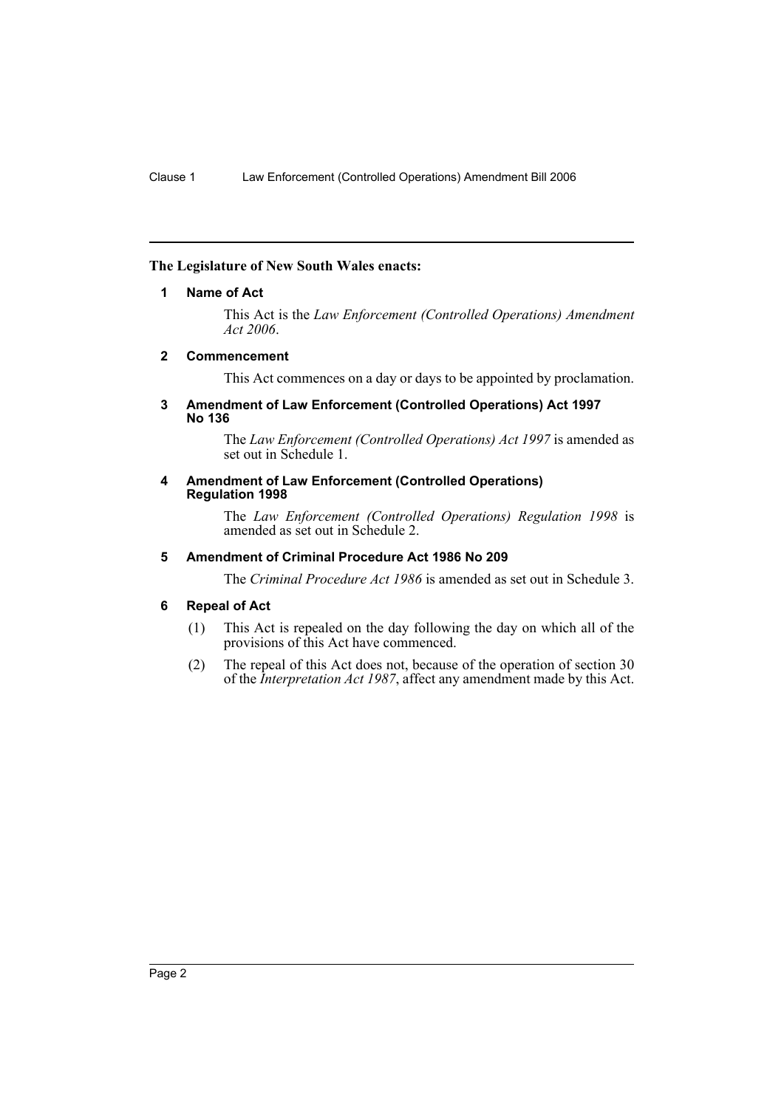# **The Legislature of New South Wales enacts:**

## **1 Name of Act**

This Act is the *Law Enforcement (Controlled Operations) Amendment Act 2006*.

## **2 Commencement**

This Act commences on a day or days to be appointed by proclamation.

#### **3 Amendment of Law Enforcement (Controlled Operations) Act 1997 No 136**

The *Law Enforcement (Controlled Operations) Act 1997* is amended as set out in Schedule 1.

#### **4 Amendment of Law Enforcement (Controlled Operations) Regulation 1998**

The *Law Enforcement (Controlled Operations) Regulation 1998* is amended as set out in Schedule 2.

# **5 Amendment of Criminal Procedure Act 1986 No 209**

The *Criminal Procedure Act 1986* is amended as set out in Schedule 3.

# **6 Repeal of Act**

- (1) This Act is repealed on the day following the day on which all of the provisions of this Act have commenced.
- (2) The repeal of this Act does not, because of the operation of section 30 of the *Interpretation Act 1987*, affect any amendment made by this Act.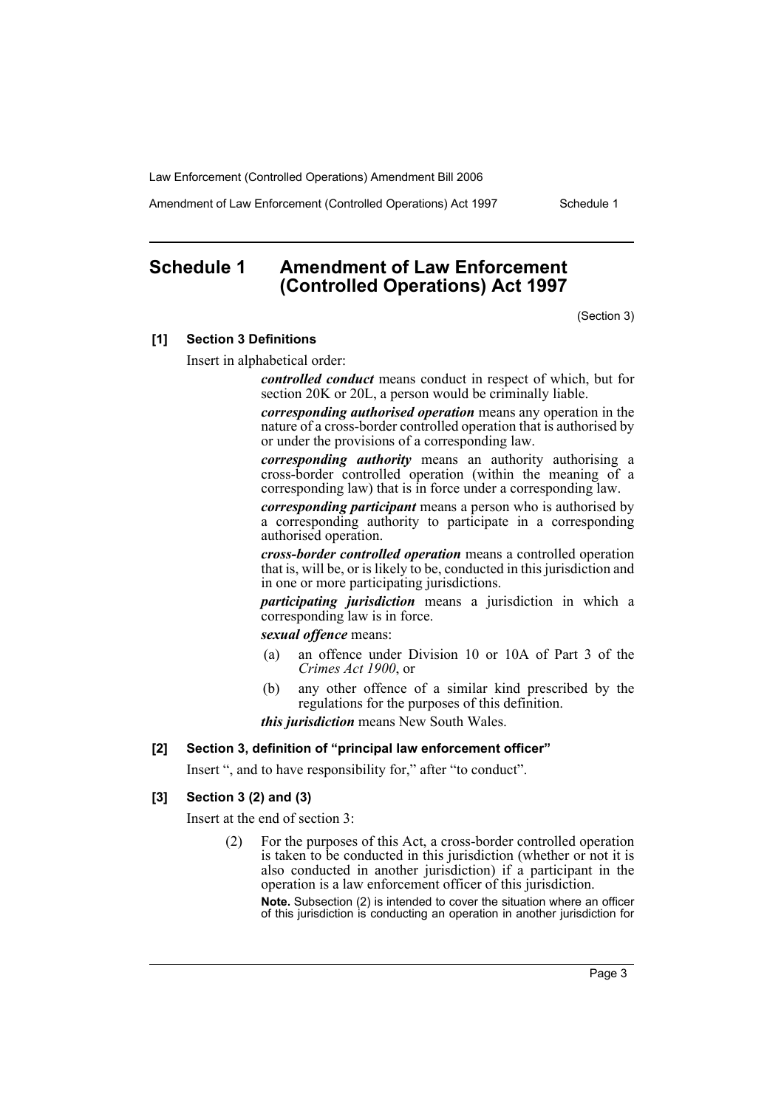Amendment of Law Enforcement (Controlled Operations) Act 1997 Schedule 1

# **Schedule 1 Amendment of Law Enforcement (Controlled Operations) Act 1997**

(Section 3)

#### **[1] Section 3 Definitions**

Insert in alphabetical order:

*controlled conduct* means conduct in respect of which, but for section 20K or 20L, a person would be criminally liable.

*corresponding authorised operation* means any operation in the nature of a cross-border controlled operation that is authorised by or under the provisions of a corresponding law.

*corresponding authority* means an authority authorising a cross-border controlled operation (within the meaning of a corresponding law) that is in force under a corresponding law.

*corresponding participant* means a person who is authorised by a corresponding authority to participate in a corresponding authorised operation.

*cross-border controlled operation* means a controlled operation that is, will be, or is likely to be, conducted in this jurisdiction and in one or more participating jurisdictions.

*participating jurisdiction* means a jurisdiction in which a corresponding law is in force.

*sexual offence* means:

- (a) an offence under Division 10 or 10A of Part 3 of the *Crimes Act 1900*, or
- (b) any other offence of a similar kind prescribed by the regulations for the purposes of this definition.

*this jurisdiction* means New South Wales.

## **[2] Section 3, definition of "principal law enforcement officer"**

Insert ", and to have responsibility for," after "to conduct".

#### **[3] Section 3 (2) and (3)**

Insert at the end of section 3:

(2) For the purposes of this Act, a cross-border controlled operation is taken to be conducted in this jurisdiction (whether or not it is also conducted in another jurisdiction) if a participant in the operation is a law enforcement officer of this jurisdiction.

**Note.** Subsection (2) is intended to cover the situation where an officer of this jurisdiction is conducting an operation in another jurisdiction for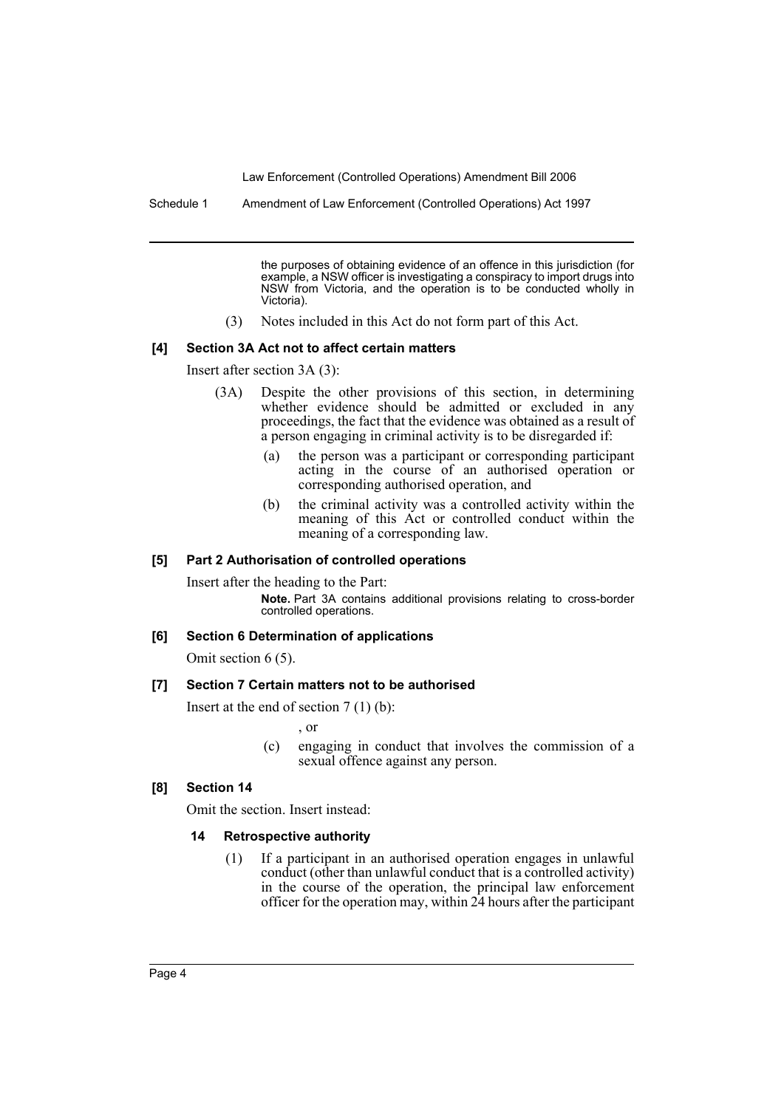Schedule 1 Amendment of Law Enforcement (Controlled Operations) Act 1997

the purposes of obtaining evidence of an offence in this jurisdiction (for example, a NSW officer is investigating a conspiracy to import drugs into NSW from Victoria, and the operation is to be conducted wholly in Victoria).

(3) Notes included in this Act do not form part of this Act.

#### **[4] Section 3A Act not to affect certain matters**

Insert after section 3A (3):

- (3A) Despite the other provisions of this section, in determining whether evidence should be admitted or excluded in any proceedings, the fact that the evidence was obtained as a result of a person engaging in criminal activity is to be disregarded if:
	- (a) the person was a participant or corresponding participant acting in the course of an authorised operation or corresponding authorised operation, and
	- (b) the criminal activity was a controlled activity within the meaning of this Act or controlled conduct within the meaning of a corresponding law.

#### **[5] Part 2 Authorisation of controlled operations**

Insert after the heading to the Part: **Note.** Part 3A contains additional provisions relating to cross-border controlled operations.

#### **[6] Section 6 Determination of applications**

Omit section 6 (5).

#### **[7] Section 7 Certain matters not to be authorised**

Insert at the end of section 7 (1) (b):

, or

(c) engaging in conduct that involves the commission of a sexual offence against any person.

### **[8] Section 14**

Omit the section. Insert instead:

#### **14 Retrospective authority**

(1) If a participant in an authorised operation engages in unlawful conduct (other than unlawful conduct that is a controlled activity) in the course of the operation, the principal law enforcement officer for the operation may, within 24 hours after the participant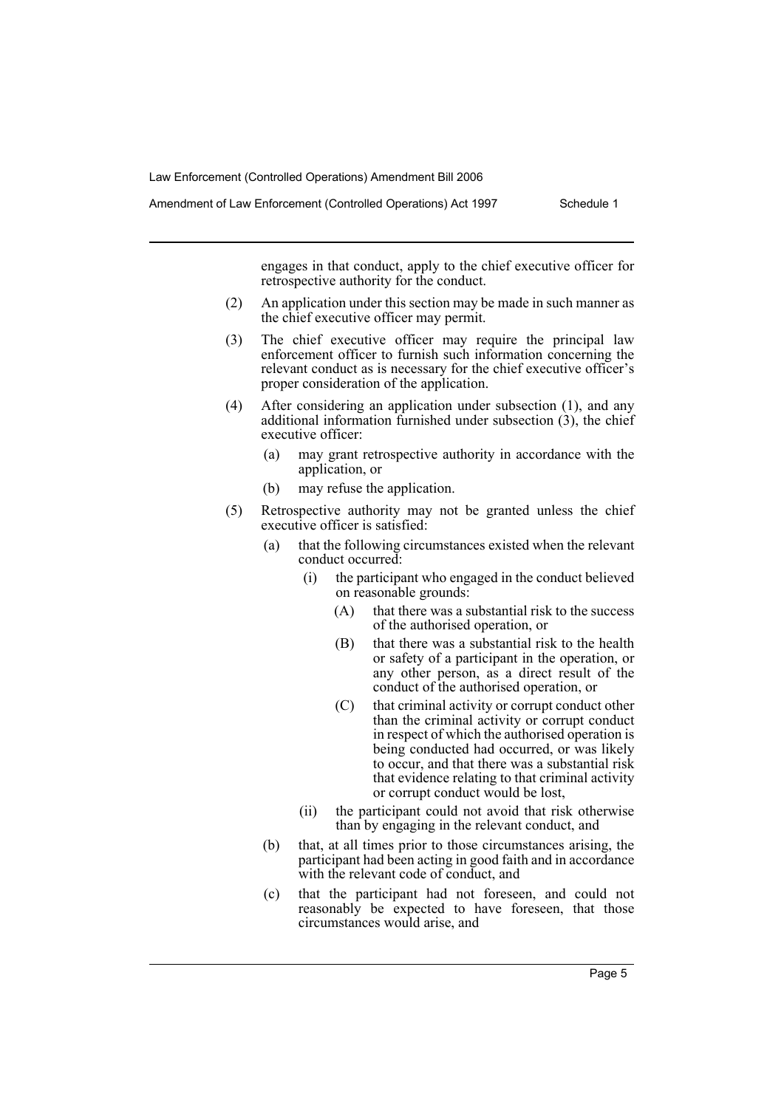Amendment of Law Enforcement (Controlled Operations) Act 1997 Schedule 1

engages in that conduct, apply to the chief executive officer for retrospective authority for the conduct.

- (2) An application under this section may be made in such manner as the chief executive officer may permit.
- (3) The chief executive officer may require the principal law enforcement officer to furnish such information concerning the relevant conduct as is necessary for the chief executive officer's proper consideration of the application.
- (4) After considering an application under subsection (1), and any additional information furnished under subsection (3), the chief executive officer:
	- (a) may grant retrospective authority in accordance with the application, or
	- (b) may refuse the application.
- (5) Retrospective authority may not be granted unless the chief executive officer is satisfied:
	- (a) that the following circumstances existed when the relevant conduct occurred:
		- (i) the participant who engaged in the conduct believed on reasonable grounds:
			- (A) that there was a substantial risk to the success of the authorised operation, or
			- (B) that there was a substantial risk to the health or safety of a participant in the operation, or any other person, as a direct result of the conduct of the authorised operation, or
			- (C) that criminal activity or corrupt conduct other than the criminal activity or corrupt conduct in respect of which the authorised operation is being conducted had occurred, or was likely to occur, and that there was a substantial risk that evidence relating to that criminal activity or corrupt conduct would be lost,
		- (ii) the participant could not avoid that risk otherwise than by engaging in the relevant conduct, and
	- (b) that, at all times prior to those circumstances arising, the participant had been acting in good faith and in accordance with the relevant code of conduct, and
	- (c) that the participant had not foreseen, and could not reasonably be expected to have foreseen, that those circumstances would arise, and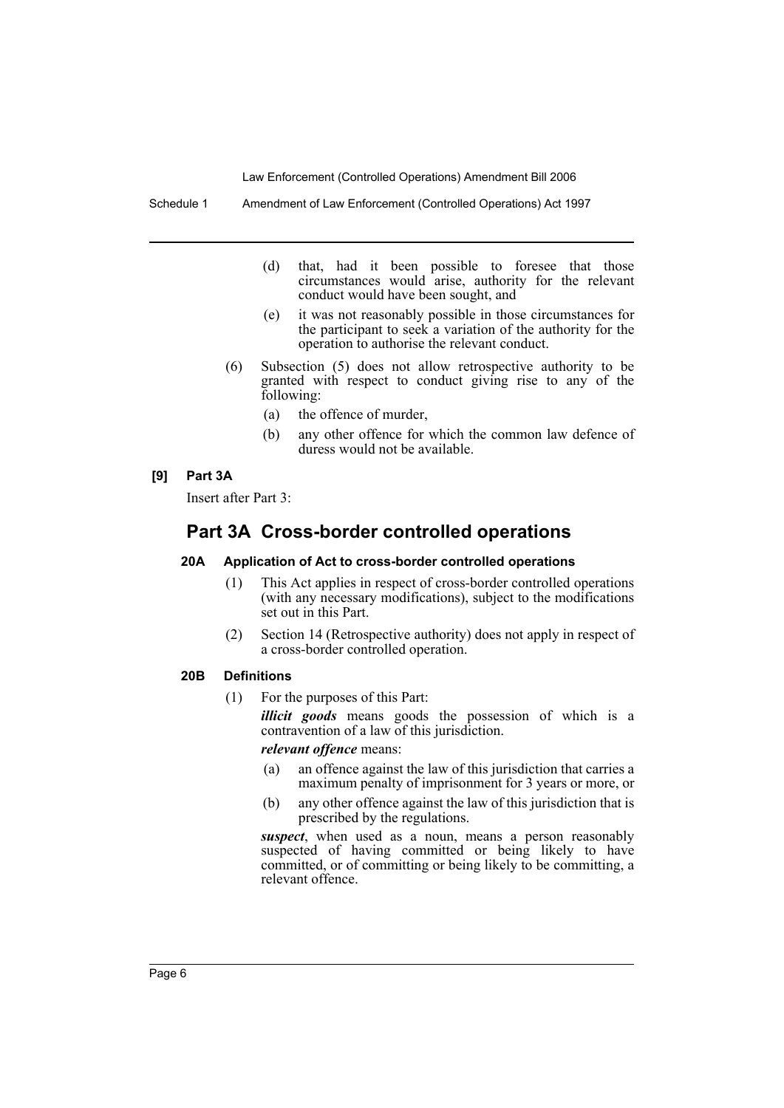Schedule 1 Amendment of Law Enforcement (Controlled Operations) Act 1997

- (d) that, had it been possible to foresee that those circumstances would arise, authority for the relevant conduct would have been sought, and
- (e) it was not reasonably possible in those circumstances for the participant to seek a variation of the authority for the operation to authorise the relevant conduct.
- (6) Subsection (5) does not allow retrospective authority to be granted with respect to conduct giving rise to any of the following:
	- (a) the offence of murder,
	- (b) any other offence for which the common law defence of duress would not be available.

## **[9] Part 3A**

Insert after Part 3:

# **Part 3A Cross-border controlled operations**

#### **20A Application of Act to cross-border controlled operations**

- (1) This Act applies in respect of cross-border controlled operations (with any necessary modifications), subject to the modifications set out in this Part.
- (2) Section 14 (Retrospective authority) does not apply in respect of a cross-border controlled operation.

#### **20B Definitions**

(1) For the purposes of this Part:

*illicit goods* means goods the possession of which is a contravention of a law of this jurisdiction.

*relevant offence* means:

- (a) an offence against the law of this jurisdiction that carries a maximum penalty of imprisonment for 3 years or more, or
- (b) any other offence against the law of this jurisdiction that is prescribed by the regulations.

suspect, when used as a noun, means a person reasonably suspected of having committed or being likely to have committed, or of committing or being likely to be committing, a relevant offence.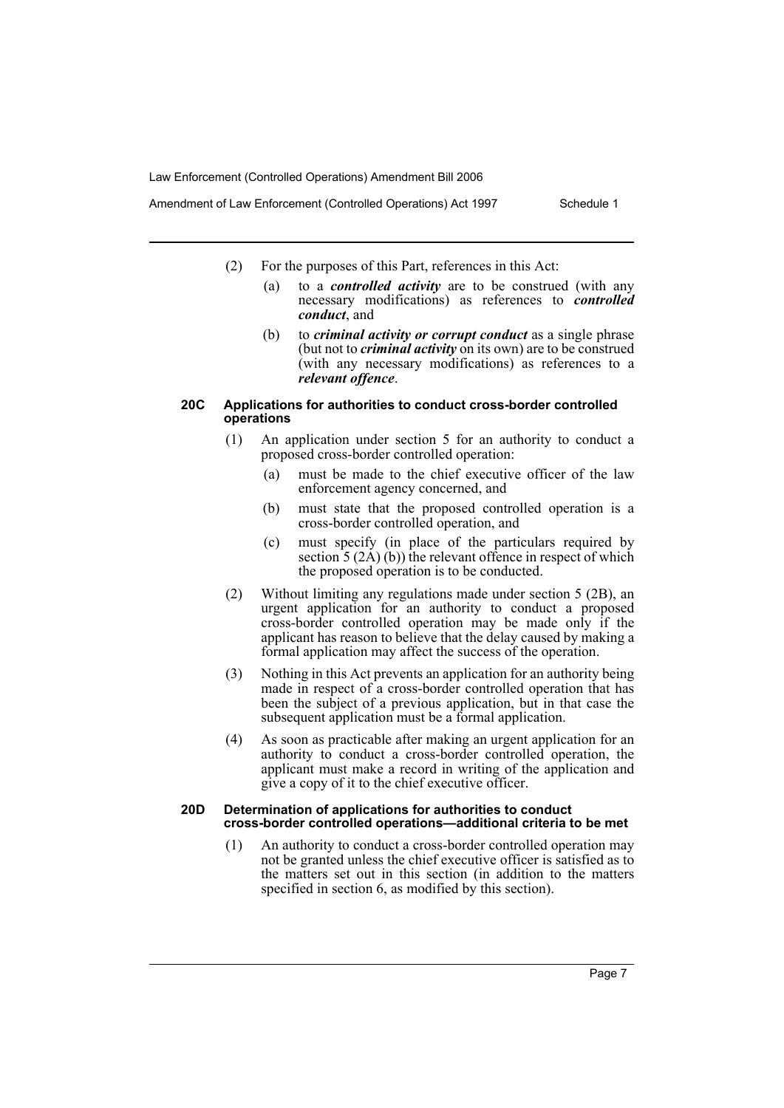- Amendment of Law Enforcement (Controlled Operations) Act 1997 Schedule 1
	- (2) For the purposes of this Part, references in this Act:
		- (a) to a *controlled activity* are to be construed (with any necessary modifications) as references to *controlled conduct*, and
		- (b) to *criminal activity or corrupt conduct* as a single phrase (but not to *criminal activity* on its own) are to be construed (with any necessary modifications) as references to a *relevant offence*.

#### **20C Applications for authorities to conduct cross-border controlled operations**

- (1) An application under section 5 for an authority to conduct a proposed cross-border controlled operation:
	- (a) must be made to the chief executive officer of the law enforcement agency concerned, and
	- (b) must state that the proposed controlled operation is a cross-border controlled operation, and
	- (c) must specify (in place of the particulars required by section  $5(2\text{\AA})$  (b)) the relevant offence in respect of which the proposed operation is to be conducted.
- (2) Without limiting any regulations made under section 5 (2B), an urgent application for an authority to conduct a proposed cross-border controlled operation may be made only if the applicant has reason to believe that the delay caused by making a formal application may affect the success of the operation.
- (3) Nothing in this Act prevents an application for an authority being made in respect of a cross-border controlled operation that has been the subject of a previous application, but in that case the subsequent application must be a formal application.
- (4) As soon as practicable after making an urgent application for an authority to conduct a cross-border controlled operation, the applicant must make a record in writing of the application and give a copy of it to the chief executive officer.

#### **20D Determination of applications for authorities to conduct cross-border controlled operations—additional criteria to be met**

(1) An authority to conduct a cross-border controlled operation may not be granted unless the chief executive officer is satisfied as to the matters set out in this section (in addition to the matters specified in section 6, as modified by this section).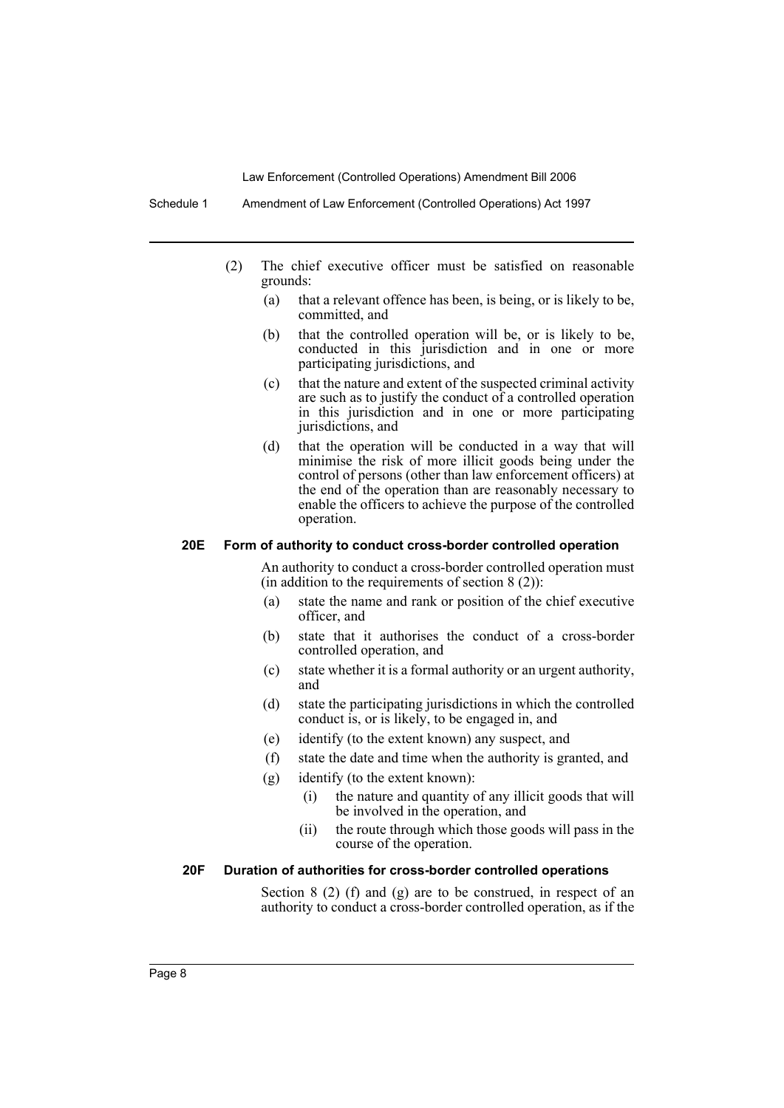- (2) The chief executive officer must be satisfied on reasonable grounds:
	- (a) that a relevant offence has been, is being, or is likely to be, committed, and
	- (b) that the controlled operation will be, or is likely to be, conducted in this jurisdiction and in one or more participating jurisdictions, and
	- (c) that the nature and extent of the suspected criminal activity are such as to justify the conduct of a controlled operation in this jurisdiction and in one or more participating jurisdictions, and
	- (d) that the operation will be conducted in a way that will minimise the risk of more illicit goods being under the control of persons (other than law enforcement officers) at the end of the operation than are reasonably necessary to enable the officers to achieve the purpose of the controlled operation.

#### **20E Form of authority to conduct cross-border controlled operation**

An authority to conduct a cross-border controlled operation must (in addition to the requirements of section  $8(2)$ ):

- (a) state the name and rank or position of the chief executive officer, and
- (b) state that it authorises the conduct of a cross-border controlled operation, and
- (c) state whether it is a formal authority or an urgent authority, and
- (d) state the participating jurisdictions in which the controlled conduct is, or is likely, to be engaged in, and
- (e) identify (to the extent known) any suspect, and
- (f) state the date and time when the authority is granted, and
- (g) identify (to the extent known):
	- (i) the nature and quantity of any illicit goods that will be involved in the operation, and
	- (ii) the route through which those goods will pass in the course of the operation.

## **20F Duration of authorities for cross-border controlled operations**

Section  $8(2)$  (f) and  $(g)$  are to be construed, in respect of an authority to conduct a cross-border controlled operation, as if the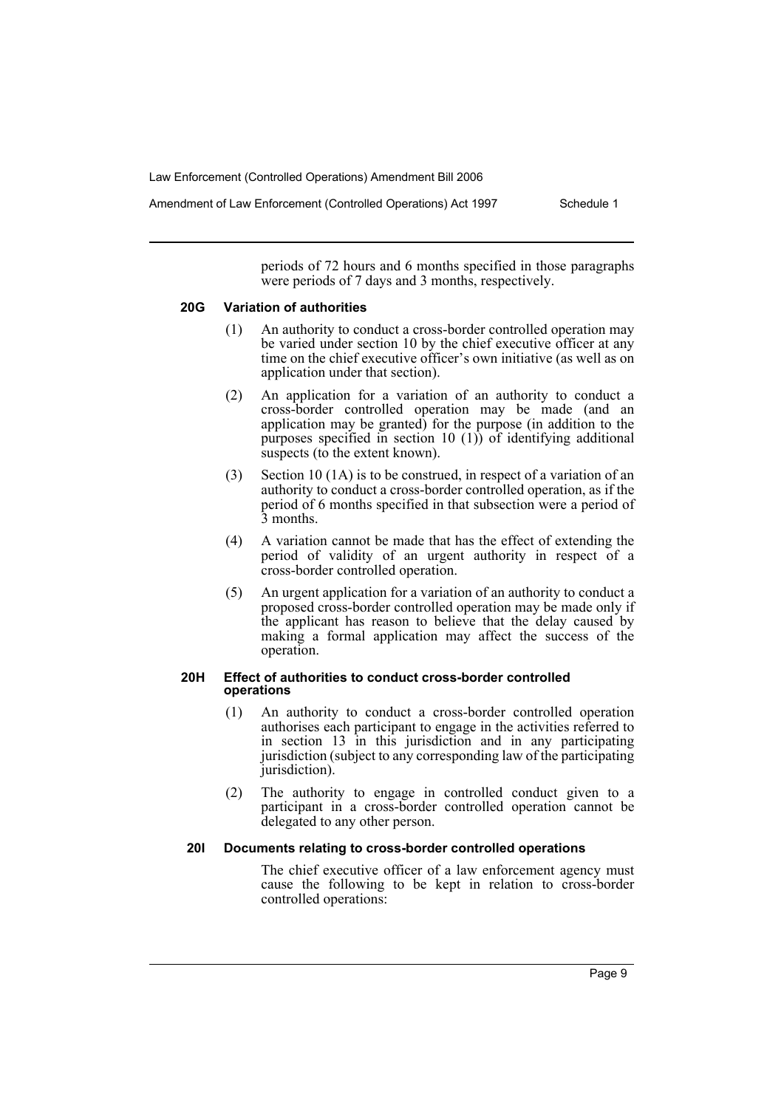Amendment of Law Enforcement (Controlled Operations) Act 1997 Schedule 1

periods of 72 hours and 6 months specified in those paragraphs were periods of 7 days and 3 months, respectively.

#### **20G Variation of authorities**

- (1) An authority to conduct a cross-border controlled operation may be varied under section 10 by the chief executive officer at any time on the chief executive officer's own initiative (as well as on application under that section).
- (2) An application for a variation of an authority to conduct a cross-border controlled operation may be made (and an application may be granted) for the purpose (in addition to the purposes specified in section 10 (1)) of identifying additional suspects (to the extent known).
- (3) Section 10 (1A) is to be construed, in respect of a variation of an authority to conduct a cross-border controlled operation, as if the period of 6 months specified in that subsection were a period of 3 months.
- (4) A variation cannot be made that has the effect of extending the period of validity of an urgent authority in respect of a cross-border controlled operation.
- (5) An urgent application for a variation of an authority to conduct a proposed cross-border controlled operation may be made only if the applicant has reason to believe that the delay caused by making a formal application may affect the success of the operation.

#### **20H Effect of authorities to conduct cross-border controlled operations**

- (1) An authority to conduct a cross-border controlled operation authorises each participant to engage in the activities referred to in section 13 in this jurisdiction and in any participating jurisdiction (subject to any corresponding law of the participating jurisdiction).
- (2) The authority to engage in controlled conduct given to a participant in a cross-border controlled operation cannot be delegated to any other person.

#### **20I Documents relating to cross-border controlled operations**

The chief executive officer of a law enforcement agency must cause the following to be kept in relation to cross-border controlled operations: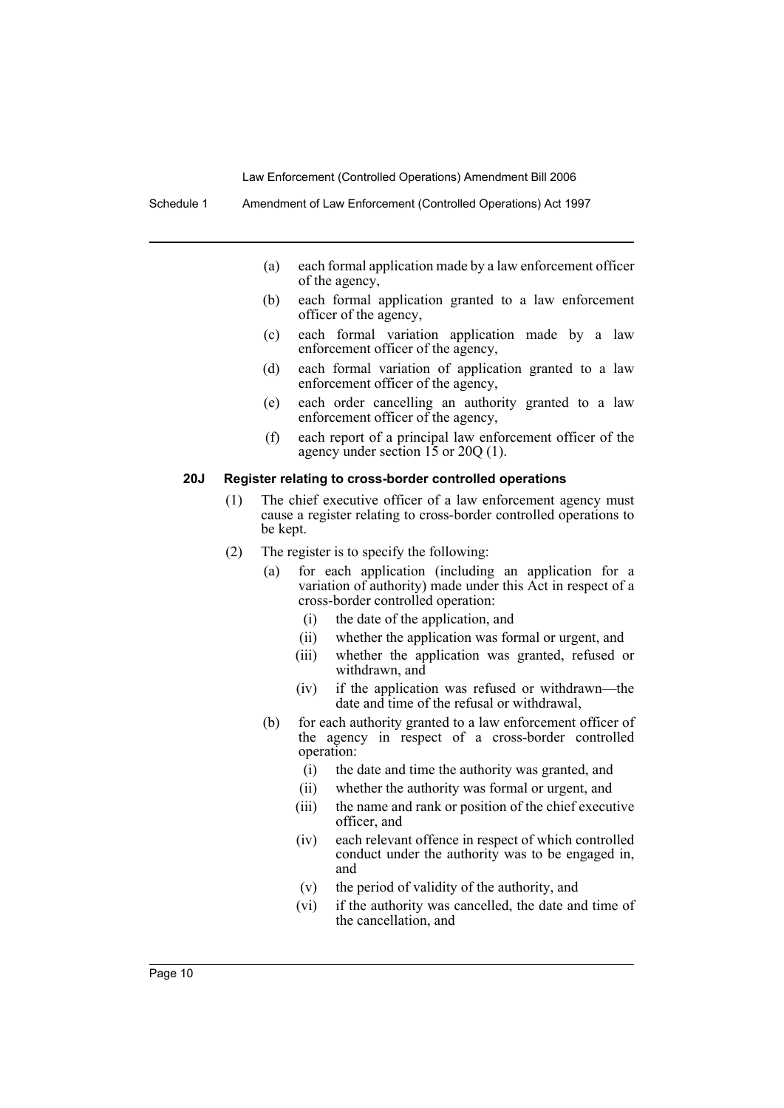- (a) each formal application made by a law enforcement officer of the agency,
- (b) each formal application granted to a law enforcement officer of the agency,
- (c) each formal variation application made by a law enforcement officer of the agency,
- (d) each formal variation of application granted to a law enforcement officer of the agency,
- (e) each order cancelling an authority granted to a law enforcement officer of the agency,
- (f) each report of a principal law enforcement officer of the agency under section 15 or 20Q (1).

# **20J Register relating to cross-border controlled operations**

- (1) The chief executive officer of a law enforcement agency must cause a register relating to cross-border controlled operations to be kept.
- (2) The register is to specify the following:
	- (a) for each application (including an application for a variation of authority) made under this Act in respect of a cross-border controlled operation:
		- (i) the date of the application, and
		- (ii) whether the application was formal or urgent, and
		- (iii) whether the application was granted, refused or withdrawn, and
		- (iv) if the application was refused or withdrawn—the date and time of the refusal or withdrawal.
	- (b) for each authority granted to a law enforcement officer of the agency in respect of a cross-border controlled operation:
		- (i) the date and time the authority was granted, and
		- (ii) whether the authority was formal or urgent, and
		- (iii) the name and rank or position of the chief executive officer, and
		- (iv) each relevant offence in respect of which controlled conduct under the authority was to be engaged in, and
		- (v) the period of validity of the authority, and
		- (vi) if the authority was cancelled, the date and time of the cancellation, and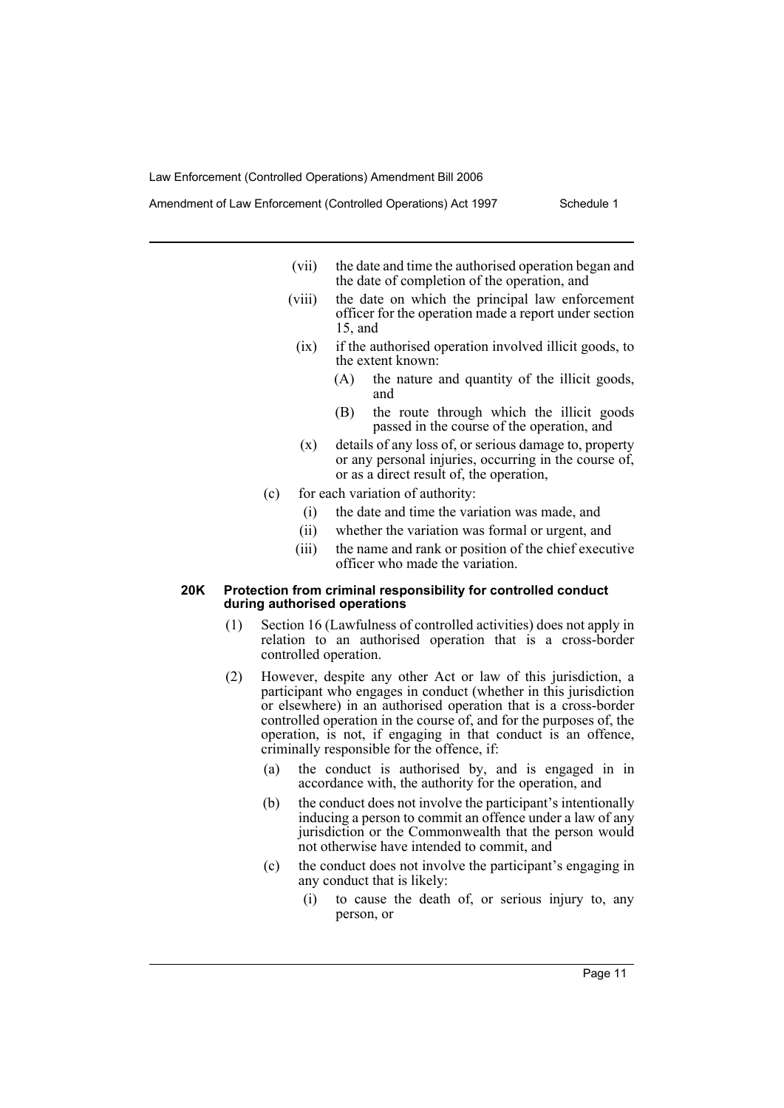- (vii) the date and time the authorised operation began and the date of completion of the operation, and
- (viii) the date on which the principal law enforcement officer for the operation made a report under section 15, and
- (ix) if the authorised operation involved illicit goods, to the extent known:
	- (A) the nature and quantity of the illicit goods, and
	- (B) the route through which the illicit goods passed in the course of the operation, and
	- (x) details of any loss of, or serious damage to, property or any personal injuries, occurring in the course of, or as a direct result of, the operation,
- (c) for each variation of authority:
	- (i) the date and time the variation was made, and
	- (ii) whether the variation was formal or urgent, and
	- (iii) the name and rank or position of the chief executive officer who made the variation.

#### **20K Protection from criminal responsibility for controlled conduct during authorised operations**

- (1) Section 16 (Lawfulness of controlled activities) does not apply in relation to an authorised operation that is a cross-border controlled operation.
- (2) However, despite any other Act or law of this jurisdiction, a participant who engages in conduct (whether in this jurisdiction or elsewhere) in an authorised operation that is a cross-border controlled operation in the course of, and for the purposes of, the operation, is not, if engaging in that conduct is an offence, criminally responsible for the offence, if:
	- (a) the conduct is authorised by, and is engaged in in accordance with, the authority for the operation, and
	- (b) the conduct does not involve the participant's intentionally inducing a person to commit an offence under a law of any jurisdiction or the Commonwealth that the person would not otherwise have intended to commit, and
	- (c) the conduct does not involve the participant's engaging in any conduct that is likely:
		- (i) to cause the death of, or serious injury to, any person, or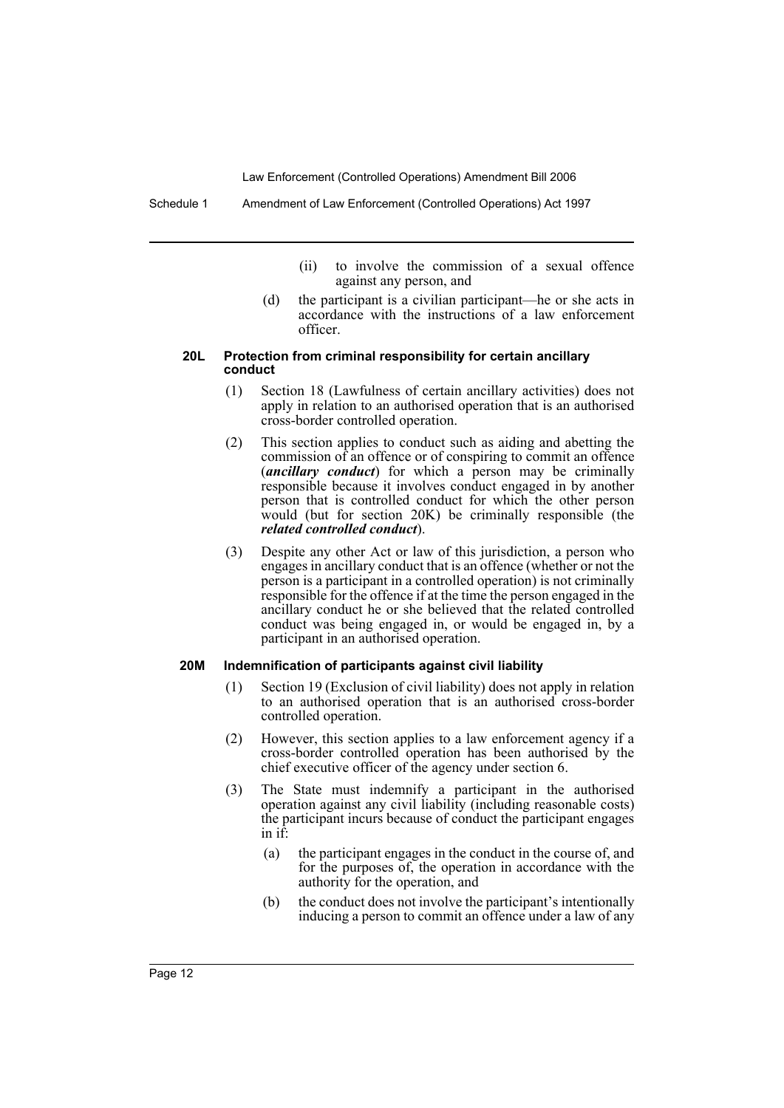- (ii) to involve the commission of a sexual offence against any person, and
- (d) the participant is a civilian participant—he or she acts in accordance with the instructions of a law enforcement officer.

#### **20L Protection from criminal responsibility for certain ancillary conduct**

- (1) Section 18 (Lawfulness of certain ancillary activities) does not apply in relation to an authorised operation that is an authorised cross-border controlled operation.
- (2) This section applies to conduct such as aiding and abetting the commission of an offence or of conspiring to commit an offence (*ancillary conduct*) for which a person may be criminally responsible because it involves conduct engaged in by another person that is controlled conduct for which the other person would (but for section 20K) be criminally responsible (the *related controlled conduct*).
- (3) Despite any other Act or law of this jurisdiction, a person who engages in ancillary conduct that is an offence (whether or not the person is a participant in a controlled operation) is not criminally responsible for the offence if at the time the person engaged in the ancillary conduct he or she believed that the related controlled conduct was being engaged in, or would be engaged in, by a participant in an authorised operation.

#### **20M Indemnification of participants against civil liability**

- (1) Section 19 (Exclusion of civil liability) does not apply in relation to an authorised operation that is an authorised cross-border controlled operation.
- (2) However, this section applies to a law enforcement agency if a cross-border controlled operation has been authorised by the chief executive officer of the agency under section 6.
- (3) The State must indemnify a participant in the authorised operation against any civil liability (including reasonable costs) the participant incurs because of conduct the participant engages in if:
	- (a) the participant engages in the conduct in the course of, and for the purposes of, the operation in accordance with the authority for the operation, and
	- (b) the conduct does not involve the participant's intentionally inducing a person to commit an offence under a law of any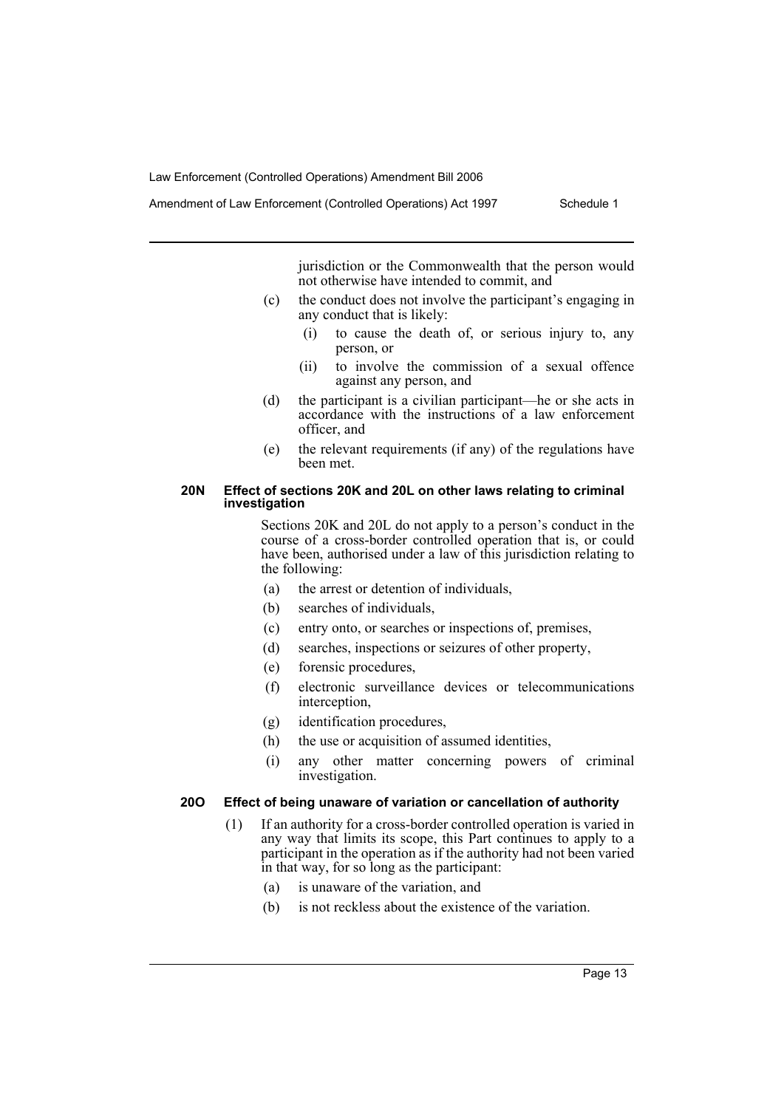Amendment of Law Enforcement (Controlled Operations) Act 1997 Schedule 1

jurisdiction or the Commonwealth that the person would not otherwise have intended to commit, and

- (c) the conduct does not involve the participant's engaging in any conduct that is likely:
	- (i) to cause the death of, or serious injury to, any person, or
	- (ii) to involve the commission of a sexual offence against any person, and
- (d) the participant is a civilian participant—he or she acts in accordance with the instructions of a law enforcement officer, and
- (e) the relevant requirements (if any) of the regulations have been met.

#### **20N Effect of sections 20K and 20L on other laws relating to criminal investigation**

Sections 20K and 20L do not apply to a person's conduct in the course of a cross-border controlled operation that is, or could have been, authorised under a law of this jurisdiction relating to the following:

- (a) the arrest or detention of individuals,
- (b) searches of individuals,
- (c) entry onto, or searches or inspections of, premises,
- (d) searches, inspections or seizures of other property,
- (e) forensic procedures,
- (f) electronic surveillance devices or telecommunications interception,
- (g) identification procedures,
- (h) the use or acquisition of assumed identities,
- (i) any other matter concerning powers of criminal investigation.

# **20O Effect of being unaware of variation or cancellation of authority**

- (1) If an authority for a cross-border controlled operation is varied in any way that limits its scope, this Part continues to apply to a participant in the operation as if the authority had not been varied in that way, for so long as the participant:
	- (a) is unaware of the variation, and
	- (b) is not reckless about the existence of the variation.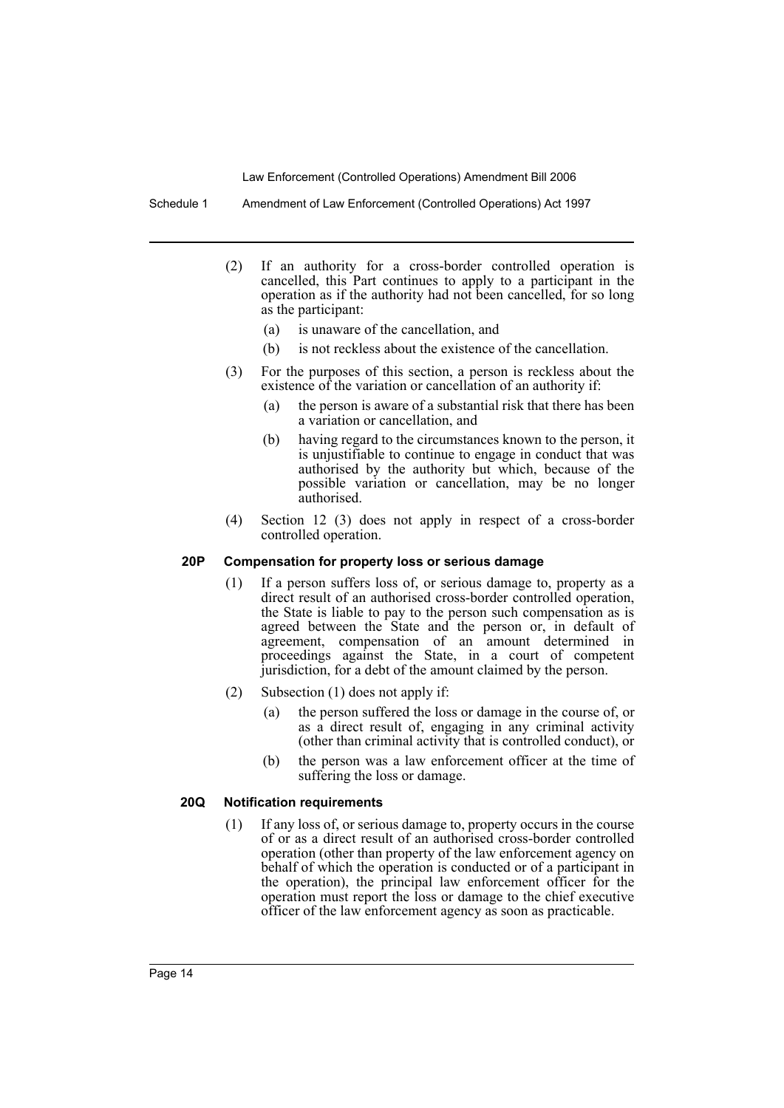Schedule 1 Amendment of Law Enforcement (Controlled Operations) Act 1997

- (2) If an authority for a cross-border controlled operation is cancelled, this Part continues to apply to a participant in the operation as if the authority had not been cancelled, for so long as the participant:
	- (a) is unaware of the cancellation, and
	- (b) is not reckless about the existence of the cancellation.
- (3) For the purposes of this section, a person is reckless about the existence of the variation or cancellation of an authority if:
	- (a) the person is aware of a substantial risk that there has been a variation or cancellation, and
	- (b) having regard to the circumstances known to the person, it is unjustifiable to continue to engage in conduct that was authorised by the authority but which, because of the possible variation or cancellation, may be no longer authorised.
- (4) Section 12 (3) does not apply in respect of a cross-border controlled operation.

#### **20P Compensation for property loss or serious damage**

- (1) If a person suffers loss of, or serious damage to, property as a direct result of an authorised cross-border controlled operation, the State is liable to pay to the person such compensation as is agreed between the State and the person or, in default of agreement, compensation of an amount determined in proceedings against the State, in a court of competent jurisdiction, for a debt of the amount claimed by the person.
- (2) Subsection (1) does not apply if:
	- (a) the person suffered the loss or damage in the course of, or as a direct result of, engaging in any criminal activity (other than criminal activity that is controlled conduct), or
	- (b) the person was a law enforcement officer at the time of suffering the loss or damage.

#### **20Q Notification requirements**

(1) If any loss of, or serious damage to, property occurs in the course of or as a direct result of an authorised cross-border controlled operation (other than property of the law enforcement agency on behalf of which the operation is conducted or of a participant in the operation), the principal law enforcement officer for the operation must report the loss or damage to the chief executive officer of the law enforcement agency as soon as practicable.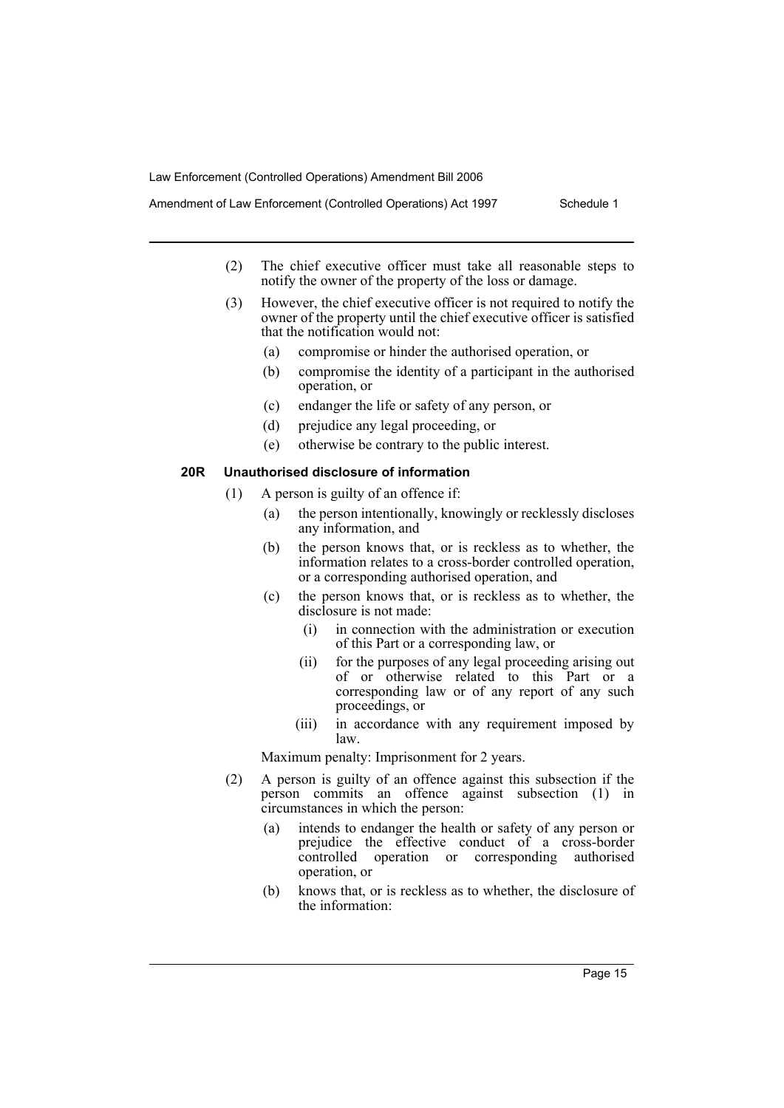- Amendment of Law Enforcement (Controlled Operations) Act 1997 Schedule 1
	- (2) The chief executive officer must take all reasonable steps to notify the owner of the property of the loss or damage.
	- (3) However, the chief executive officer is not required to notify the owner of the property until the chief executive officer is satisfied that the notification would not:
		- (a) compromise or hinder the authorised operation, or
		- (b) compromise the identity of a participant in the authorised operation, or
		- (c) endanger the life or safety of any person, or
		- (d) prejudice any legal proceeding, or
		- (e) otherwise be contrary to the public interest.

## **20R Unauthorised disclosure of information**

- (1) A person is guilty of an offence if:
	- (a) the person intentionally, knowingly or recklessly discloses any information, and
	- (b) the person knows that, or is reckless as to whether, the information relates to a cross-border controlled operation, or a corresponding authorised operation, and
	- (c) the person knows that, or is reckless as to whether, the disclosure is not made:
		- (i) in connection with the administration or execution of this Part or a corresponding law, or
		- (ii) for the purposes of any legal proceeding arising out of or otherwise related to this Part or a corresponding law or of any report of any such proceedings, or
		- (iii) in accordance with any requirement imposed by law.

Maximum penalty: Imprisonment for 2 years.

- (2) A person is guilty of an offence against this subsection if the person commits an offence against subsection (1) in circumstances in which the person:
	- (a) intends to endanger the health or safety of any person or prejudice the effective conduct of a cross-border controlled operation or corresponding authorised operation, or
	- (b) knows that, or is reckless as to whether, the disclosure of the information: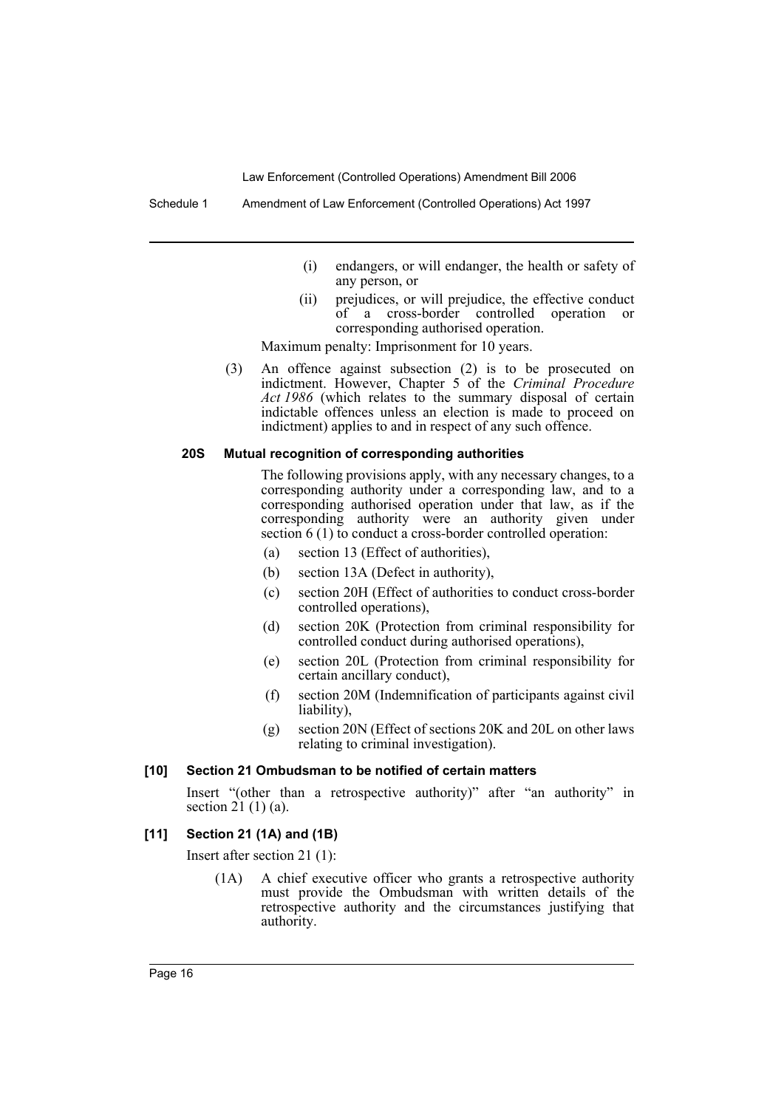Schedule 1 Amendment of Law Enforcement (Controlled Operations) Act 1997

- (i) endangers, or will endanger, the health or safety of any person, or
- (ii) prejudices, or will prejudice, the effective conduct of a cross-border controlled operation or corresponding authorised operation.

Maximum penalty: Imprisonment for 10 years.

(3) An offence against subsection (2) is to be prosecuted on indictment. However, Chapter 5 of the *Criminal Procedure Act 1986* (which relates to the summary disposal of certain indictable offences unless an election is made to proceed on indictment) applies to and in respect of any such offence.

### **20S Mutual recognition of corresponding authorities**

The following provisions apply, with any necessary changes, to a corresponding authority under a corresponding law, and to a corresponding authorised operation under that law, as if the corresponding authority were an authority given under section 6 (1) to conduct a cross-border controlled operation:

- (a) section 13 (Effect of authorities),
- (b) section 13A (Defect in authority),
- (c) section 20H (Effect of authorities to conduct cross-border controlled operations),
- (d) section 20K (Protection from criminal responsibility for controlled conduct during authorised operations),
- (e) section 20L (Protection from criminal responsibility for certain ancillary conduct),
- (f) section 20M (Indemnification of participants against civil liability),
- (g) section 20N (Effect of sections 20K and 20L on other laws relating to criminal investigation).

#### **[10] Section 21 Ombudsman to be notified of certain matters**

Insert "(other than a retrospective authority)" after "an authority" in section 21 (1) (a).

#### **[11] Section 21 (1A) and (1B)**

Insert after section 21 (1):

(1A) A chief executive officer who grants a retrospective authority must provide the Ombudsman with written details of the retrospective authority and the circumstances justifying that authority.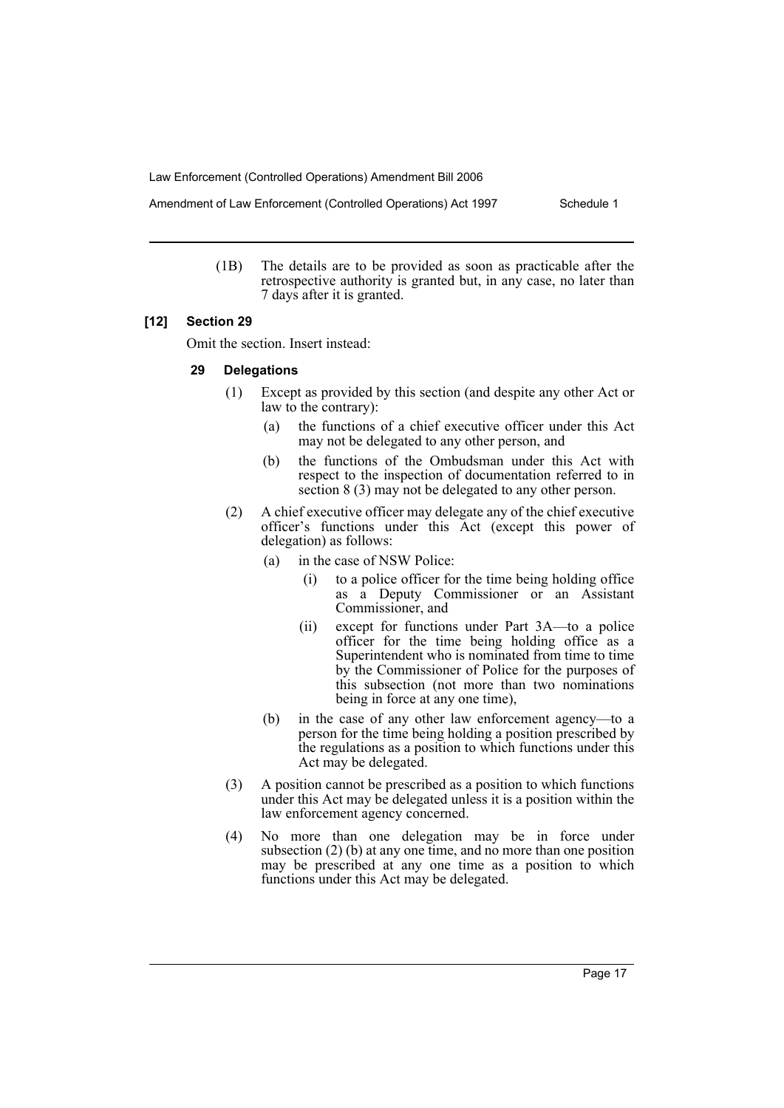Amendment of Law Enforcement (Controlled Operations) Act 1997 Schedule 1

(1B) The details are to be provided as soon as practicable after the retrospective authority is granted but, in any case, no later than 7 days after it is granted.

## **[12] Section 29**

Omit the section. Insert instead:

#### **29 Delegations**

- (1) Except as provided by this section (and despite any other Act or law to the contrary):
	- (a) the functions of a chief executive officer under this Act may not be delegated to any other person, and
	- (b) the functions of the Ombudsman under this Act with respect to the inspection of documentation referred to in section 8 (3) may not be delegated to any other person.
- (2) A chief executive officer may delegate any of the chief executive officer's functions under this Act (except this power of delegation) as follows:
	- (a) in the case of NSW Police:
		- (i) to a police officer for the time being holding office as a Deputy Commissioner or an Assistant Commissioner, and
		- (ii) except for functions under Part 3A—to a police officer for the time being holding office as a Superintendent who is nominated from time to time by the Commissioner of Police for the purposes of this subsection (not more than two nominations being in force at any one time),
	- (b) in the case of any other law enforcement agency—to a person for the time being holding a position prescribed by the regulations as a position to which functions under this Act may be delegated.
- (3) A position cannot be prescribed as a position to which functions under this Act may be delegated unless it is a position within the law enforcement agency concerned.
- (4) No more than one delegation may be in force under subsection (2) (b) at any one time, and no more than one position may be prescribed at any one time as a position to which functions under this Act may be delegated.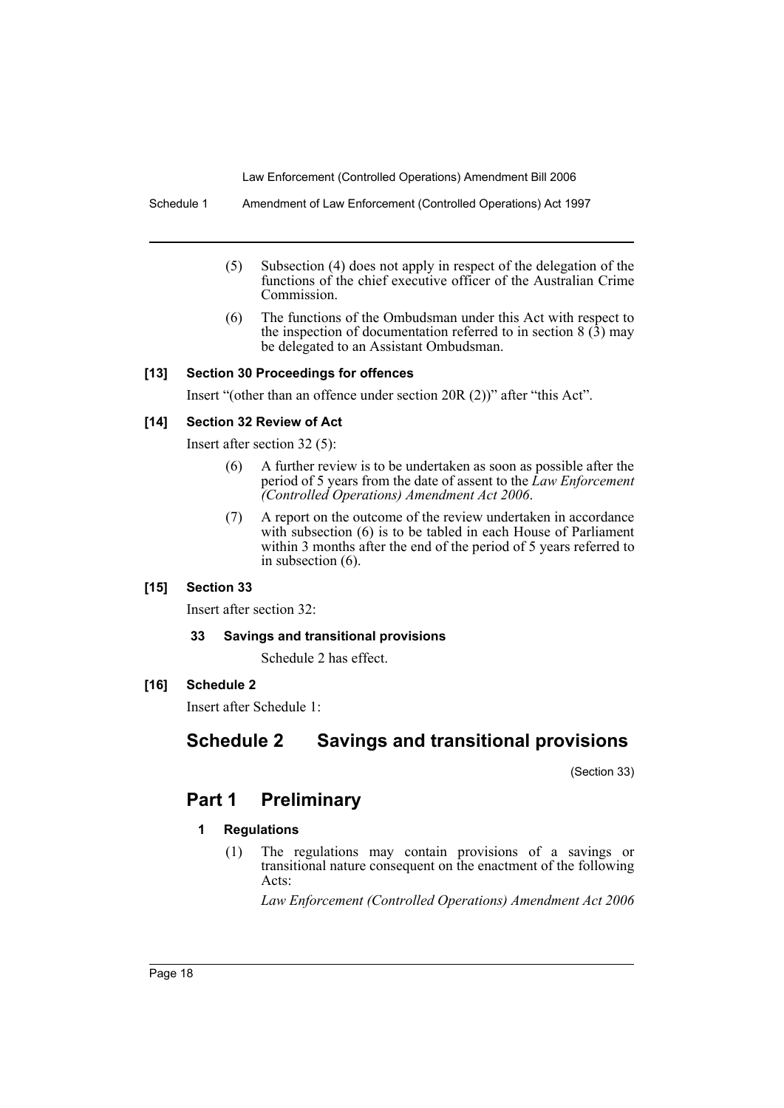Schedule 1 Amendment of Law Enforcement (Controlled Operations) Act 1997

- (5) Subsection (4) does not apply in respect of the delegation of the functions of the chief executive officer of the Australian Crime Commission.
- (6) The functions of the Ombudsman under this Act with respect to the inspection of documentation referred to in section  $8(\hat{3})$  may be delegated to an Assistant Ombudsman.

## **[13] Section 30 Proceedings for offences**

Insert "(other than an offence under section 20R (2))" after "this Act".

## **[14] Section 32 Review of Act**

Insert after section 32 (5):

- (6) A further review is to be undertaken as soon as possible after the period of 5 years from the date of assent to the *Law Enforcement (Controlled Operations) Amendment Act 2006*.
- (7) A report on the outcome of the review undertaken in accordance with subsection (6) is to be tabled in each House of Parliament within 3 months after the end of the period of 5 years referred to in subsection (6).

# **[15] Section 33**

Insert after section 32:

#### **33 Savings and transitional provisions**

Schedule 2 has effect.

# **[16] Schedule 2**

Insert after Schedule 1:

# **Schedule 2 Savings and transitional provisions**

(Section 33)

# **Part 1 Preliminary**

# **1 Regulations**

(1) The regulations may contain provisions of a savings or transitional nature consequent on the enactment of the following Acts:

*Law Enforcement (Controlled Operations) Amendment Act 2006*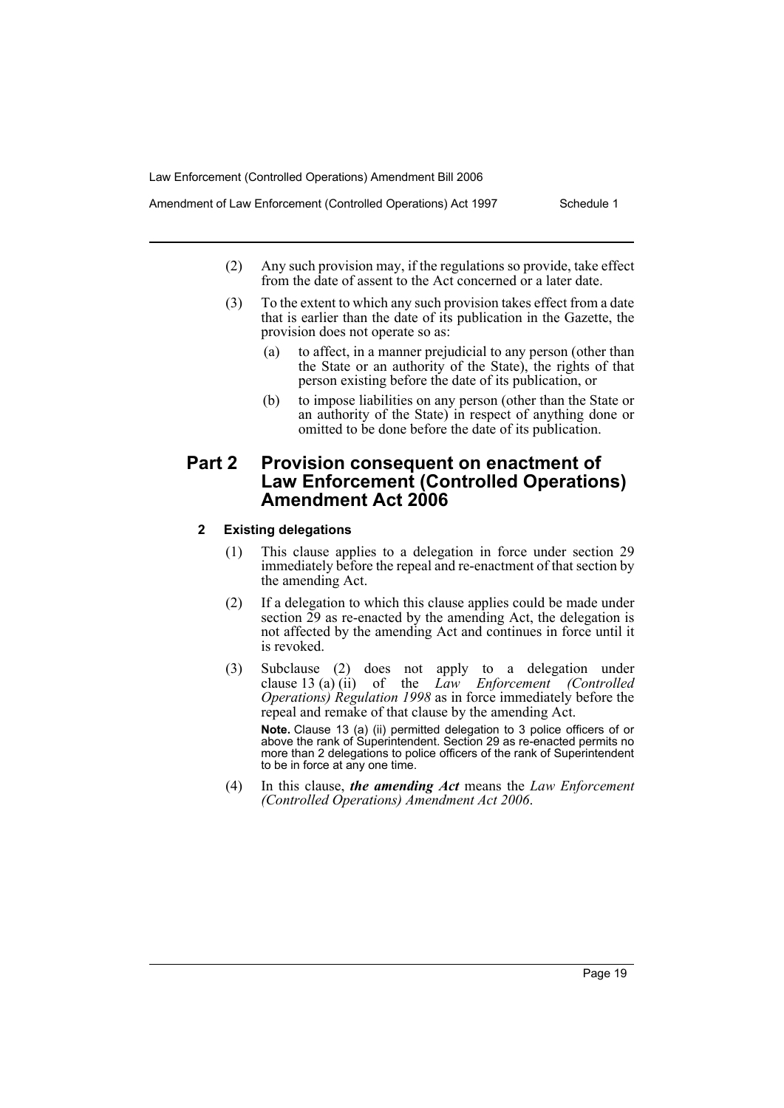- Amendment of Law Enforcement (Controlled Operations) Act 1997 Schedule 1
	- (2) Any such provision may, if the regulations so provide, take effect from the date of assent to the Act concerned or a later date.
	- (3) To the extent to which any such provision takes effect from a date that is earlier than the date of its publication in the Gazette, the provision does not operate so as:
		- (a) to affect, in a manner prejudicial to any person (other than the State or an authority of the State), the rights of that person existing before the date of its publication, or
		- (b) to impose liabilities on any person (other than the State or an authority of the State) in respect of anything done or omitted to be done before the date of its publication.

# **Part 2 Provision consequent on enactment of Law Enforcement (Controlled Operations) Amendment Act 2006**

# **2 Existing delegations**

- (1) This clause applies to a delegation in force under section 29 immediately before the repeal and re-enactment of that section by the amending Act.
- (2) If a delegation to which this clause applies could be made under section  $\tilde{29}$  as re-enacted by the amending Act, the delegation is not affected by the amending Act and continues in force until it is revoked.
- (3) Subclause (2) does not apply to a delegation under clause 13 (a) (ii) of the *Law Enforcement (Controlled Operations) Regulation 1998* as in force immediately before the repeal and remake of that clause by the amending Act. **Note.** Clause 13 (a) (ii) permitted delegation to 3 police officers of or above the rank of Superintendent. Section 29 as re-enacted permits no more than 2 delegations to police officers of the rank of Superintendent to be in force at any one time.
- (4) In this clause, *the amending Act* means the *Law Enforcement (Controlled Operations) Amendment Act 2006*.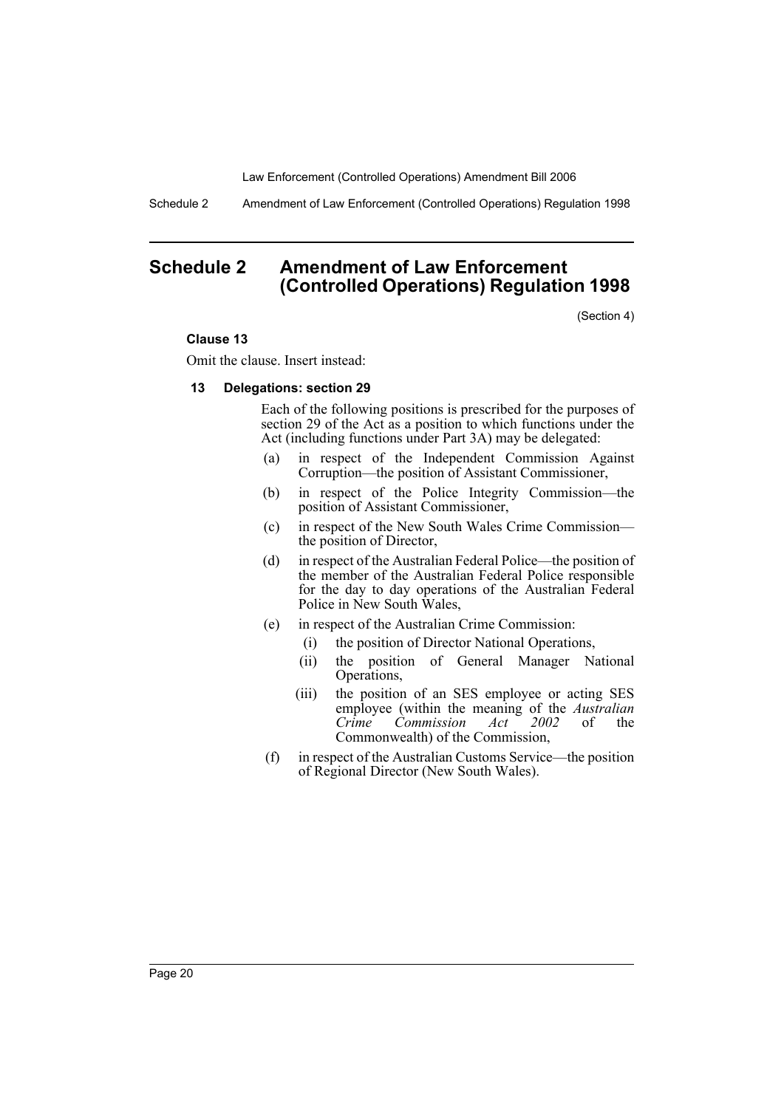Schedule 2 Amendment of Law Enforcement (Controlled Operations) Regulation 1998

# **Schedule 2 Amendment of Law Enforcement (Controlled Operations) Regulation 1998**

(Section 4)

#### **Clause 13**

Omit the clause. Insert instead:

#### **13 Delegations: section 29**

Each of the following positions is prescribed for the purposes of section 29 of the Act as a position to which functions under the Act (including functions under Part 3A) may be delegated:

- (a) in respect of the Independent Commission Against Corruption—the position of Assistant Commissioner,
- (b) in respect of the Police Integrity Commission—the position of Assistant Commissioner,
- (c) in respect of the New South Wales Crime Commission the position of Director,
- (d) in respect of the Australian Federal Police—the position of the member of the Australian Federal Police responsible for the day to day operations of the Australian Federal Police in New South Wales,
- (e) in respect of the Australian Crime Commission:
	- (i) the position of Director National Operations,
	- (ii) the position of General Manager National Operations,
	- (iii) the position of an SES employee or acting SES employee (within the meaning of the *Australian Crime Commission Act 2002* of the Commonwealth) of the Commission,
- (f) in respect of the Australian Customs Service—the position of Regional Director (New South Wales).